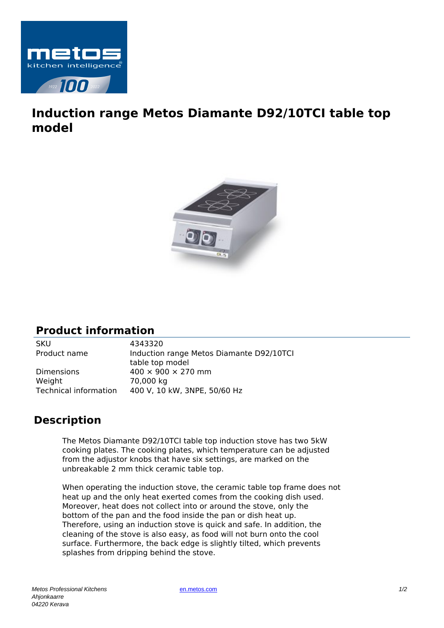

## **Induction range Metos Diamante D92/10TCI table top model**



## **Product information**

SKU 4343320

Product name Induction range Metos Diamante D92/10TCI table top model Dimensions  $400 \times 900 \times 270$  mm Weight 70,000 kg Technical information 400 V, 10 kW, 3NPE, 50/60 Hz

## **Description**

The Metos Diamante D92/10TCI table top induction stove has two 5kW cooking plates. The cooking plates, which temperature can be adjusted from the adjustor knobs that have six settings, are marked on the unbreakable 2 mm thick ceramic table top.

When operating the induction stove, the ceramic table top frame does not heat up and the only heat exerted comes from the cooking dish used. Moreover, heat does not collect into or around the stove, only the bottom of the pan and the food inside the pan or dish heat up. Therefore, using an induction stove is quick and safe. In addition, the cleaning of the stove is also easy, as food will not burn onto the cool surface. Furthermore, the back edge is slightly tilted, which prevents splashes from dripping behind the stove.